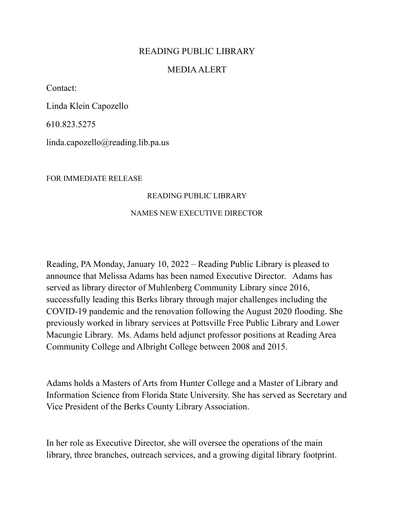## READING PUBLIC LIBRARY

## MEDIA ALERT

Contact:

Linda Klein Capozello

610.823.5275

linda.capozello@reading.lib.pa.us

FOR IMMEDIATE RELEASE

## READING PUBLIC LIBRARY

## NAMES NEW EXECUTIVE DIRECTOR

Reading, PA Monday, January 10, 2022 – Reading Public Library is pleased to announce that Melissa Adams has been named Executive Director. Adams has served as library director of Muhlenberg Community Library since 2016, successfully leading this Berks library through major challenges including the COVID-19 pandemic and the renovation following the August 2020 flooding. She previously worked in library services at Pottsville Free Public Library and Lower Macungie Library. Ms. Adams held adjunct professor positions at Reading Area Community College and Albright College between 2008 and 2015.

Adams holds a Masters of Arts from Hunter College and a Master of Library and Information Science from Florida State University. She has served as Secretary and Vice President of the Berks County Library Association.

In her role as Executive Director, she will oversee the operations of the main library, three branches, outreach services, and a growing digital library footprint.